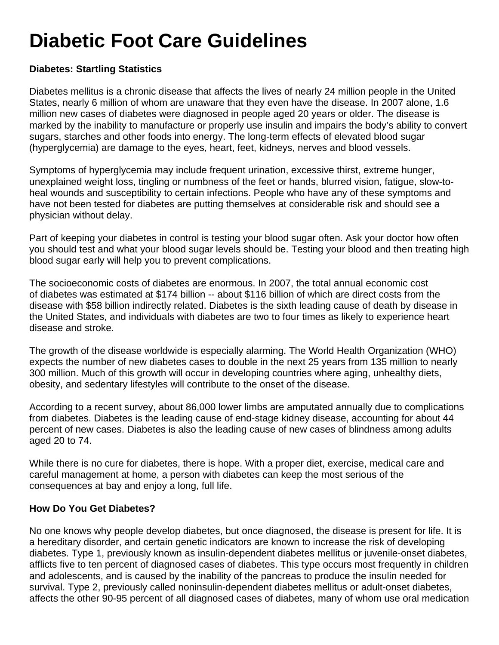# **Diabetic Foot Care Guidelines**

# **Diabetes: Startling Statistics**

Diabetes mellitus is a chronic disease that affects the lives of nearly 24 million people in the United States, nearly 6 million of whom are unaware that they even have the disease. In 2007 alone, 1.6 million new cases of diabetes were diagnosed in people aged 20 years or older. The disease is marked by the inability to manufacture or properly use insulin and impairs the body's ability to convert sugars, starches and other foods into energy. The long-term effects of elevated blood sugar (hyperglycemia) are damage to the eyes, heart, feet, kidneys, nerves and blood vessels.

Symptoms of hyperglycemia may include frequent urination, excessive thirst, extreme hunger, unexplained weight loss, tingling or numbness of the feet or hands, blurred vision, fatigue, slow-toheal wounds and susceptibility to certain infections. People who have any of these symptoms and have not been tested for diabetes are putting themselves at considerable risk and should see a physician without delay.

Part of keeping your diabetes in control is testing your blood sugar often. Ask your doctor how often you should test and what your blood sugar levels should be. Testing your blood and then treating high blood sugar early will help you to prevent complications.

The socioeconomic costs of diabetes are enormous. In 2007, the total annual economic cost of diabetes was estimated at \$174 billion -- about \$116 billion of which are direct costs from the disease with \$58 billion indirectly related. Diabetes is the sixth leading cause of death by disease in the United States, and individuals with diabetes are two to four times as likely to experience heart disease and stroke.

The growth of the disease worldwide is especially alarming. The World Health Organization (WHO) expects the number of new diabetes cases to double in the next 25 years from 135 million to nearly 300 million. Much of this growth will occur in developing countries where aging, unhealthy diets, obesity, and sedentary lifestyles will contribute to the onset of the disease.

According to a recent survey, about 86,000 lower limbs are amputated annually due to complications from diabetes. Diabetes is the leading cause of end-stage kidney disease, accounting for about 44 percent of new cases. Diabetes is also the leading cause of new cases of blindness among adults aged 20 to 74.

While there is no cure for diabetes, there is hope. With a proper diet, exercise, medical care and careful management at home, a person with diabetes can keep the most serious of the consequences at bay and enjoy a long, full life.

# **How Do You Get Diabetes?**

No one knows why people develop diabetes, but once diagnosed, the disease is present for life. It is a hereditary disorder, and certain genetic indicators are known to increase the risk of developing diabetes. Type 1, previously known as insulin-dependent diabetes mellitus or juvenile-onset diabetes, afflicts five to ten percent of diagnosed cases of diabetes. This type occurs most frequently in children and adolescents, and is caused by the inability of the pancreas to produce the insulin needed for survival. Type 2, previously called noninsulin-dependent diabetes mellitus or adult-onset diabetes, affects the other 90-95 percent of all diagnosed cases of diabetes, many of whom use oral medication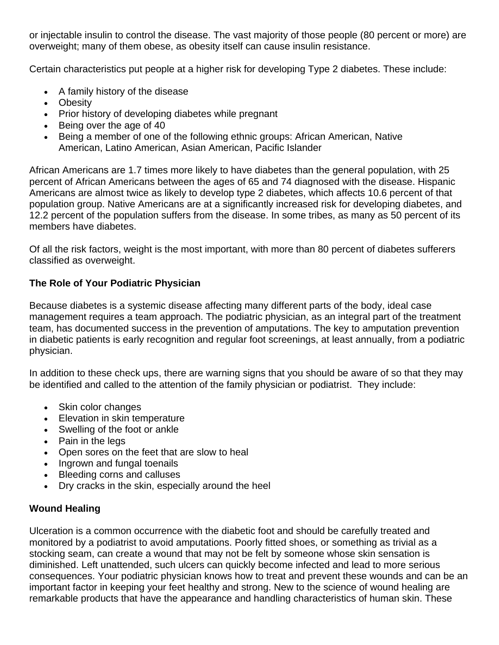or injectable insulin to control the disease. The vast majority of those people (80 percent or more) are overweight; many of them obese, as obesity itself can cause insulin resistance.

Certain characteristics put people at a higher risk for developing Type 2 diabetes. These include:

- A family history of the disease
- Obesity
- Prior history of developing diabetes while pregnant
- Being over the age of 40
- Being a member of one of the following ethnic groups: African American, Native American, Latino American, Asian American, Pacific Islander

African Americans are 1.7 times more likely to have diabetes than the general population, with 25 percent of African Americans between the ages of 65 and 74 diagnosed with the disease. Hispanic Americans are almost twice as likely to develop type 2 diabetes, which affects 10.6 percent of that population group. Native Americans are at a significantly increased risk for developing diabetes, and 12.2 percent of the population suffers from the disease. In some tribes, as many as 50 percent of its members have diabetes.

Of all the risk factors, weight is the most important, with more than 80 percent of diabetes sufferers classified as overweight.

## **The Role of Your Podiatric Physician**

Because diabetes is a systemic disease affecting many different parts of the body, ideal case management requires a team approach. The podiatric physician, as an integral part of the treatment team, has documented success in the prevention of amputations. The key to amputation prevention in diabetic patients is early recognition and regular foot screenings, at least annually, from a podiatric physician.

In addition to these check ups, there are warning signs that you should be aware of so that they may be identified and called to the attention of the family physician or podiatrist. They include:

- Skin color changes
- Elevation in skin temperature
- Swelling of the foot or ankle
- Pain in the legs
- Open sores on the feet that are slow to heal
- Ingrown and fungal toenails
- Bleeding corns and calluses
- Dry cracks in the skin, especially around the heel

# **Wound Healing**

Ulceration is a common occurrence with the diabetic foot and should be carefully treated and monitored by a podiatrist to avoid amputations. Poorly fitted shoes, or something as trivial as a stocking seam, can create a wound that may not be felt by someone whose skin sensation is diminished. Left unattended, such ulcers can quickly become infected and lead to more serious consequences. Your podiatric physician knows how to treat and prevent these wounds and can be an important factor in keeping your feet healthy and strong. New to the science of wound healing are remarkable products that have the appearance and handling characteristics of human skin. These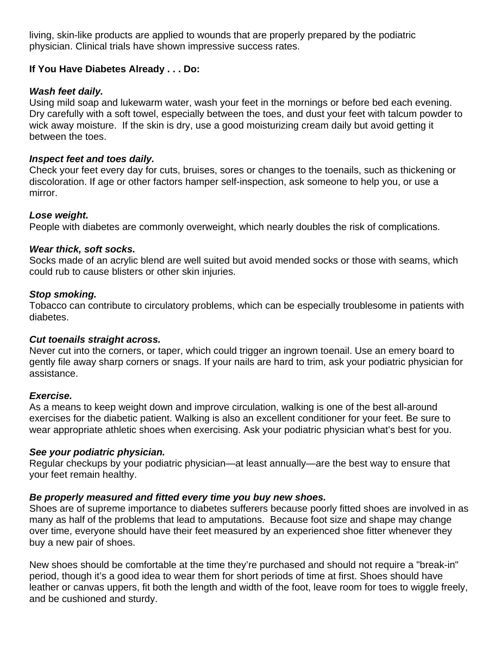living, skin-like products are applied to wounds that are properly prepared by the podiatric physician. Clinical trials have shown impressive success rates.

## **If You Have Diabetes Already . . . Do:**

## *Wash feet daily.*

Using mild soap and lukewarm water, wash your feet in the mornings or before bed each evening. Dry carefully with a soft towel, especially between the toes, and dust your feet with talcum powder to wick away moisture. If the skin is dry, use a good moisturizing cream daily but avoid getting it between the toes.

## *Inspect feet and toes daily.*

Check your feet every day for cuts, bruises, sores or changes to the toenails, such as thickening or discoloration. If age or other factors hamper self-inspection, ask someone to help you, or use a mirror.

## *Lose weight.*

People with diabetes are commonly overweight, which nearly doubles the risk of complications.

#### *Wear thick, soft socks.*

Socks made of an acrylic blend are well suited but avoid mended socks or those with seams, which could rub to cause blisters or other skin injuries.

#### *Stop smoking.*

Tobacco can contribute to circulatory problems, which can be especially troublesome in patients with diabetes.

#### *Cut toenails straight across.*

Never cut into the corners, or taper, which could trigger an ingrown toenail. Use an emery board to gently file away sharp corners or snags. If your nails are hard to trim, ask your podiatric physician for assistance.

## *Exercise.*

As a means to keep weight down and improve circulation, walking is one of the best all-around exercises for the diabetic patient. Walking is also an excellent conditioner for your feet. Be sure to wear appropriate athletic shoes when exercising. Ask your podiatric physician what's best for you.

#### *See your podiatric physician.*

Regular checkups by your podiatric physician—at least annually—are the best way to ensure that your feet remain healthy.

## *Be properly measured and fitted every time you buy new shoes.*

Shoes are of supreme importance to diabetes sufferers because poorly fitted shoes are involved in as many as half of the problems that lead to amputations. Because foot size and shape may change over time, everyone should have their feet measured by an experienced shoe fitter whenever they buy a new pair of shoes.

New shoes should be comfortable at the time they're purchased and should not require a "break-in" period, though it's a good idea to wear them for short periods of time at first. Shoes should have leather or canvas uppers, fit both the length and width of the foot, leave room for toes to wiggle freely, and be cushioned and sturdy.